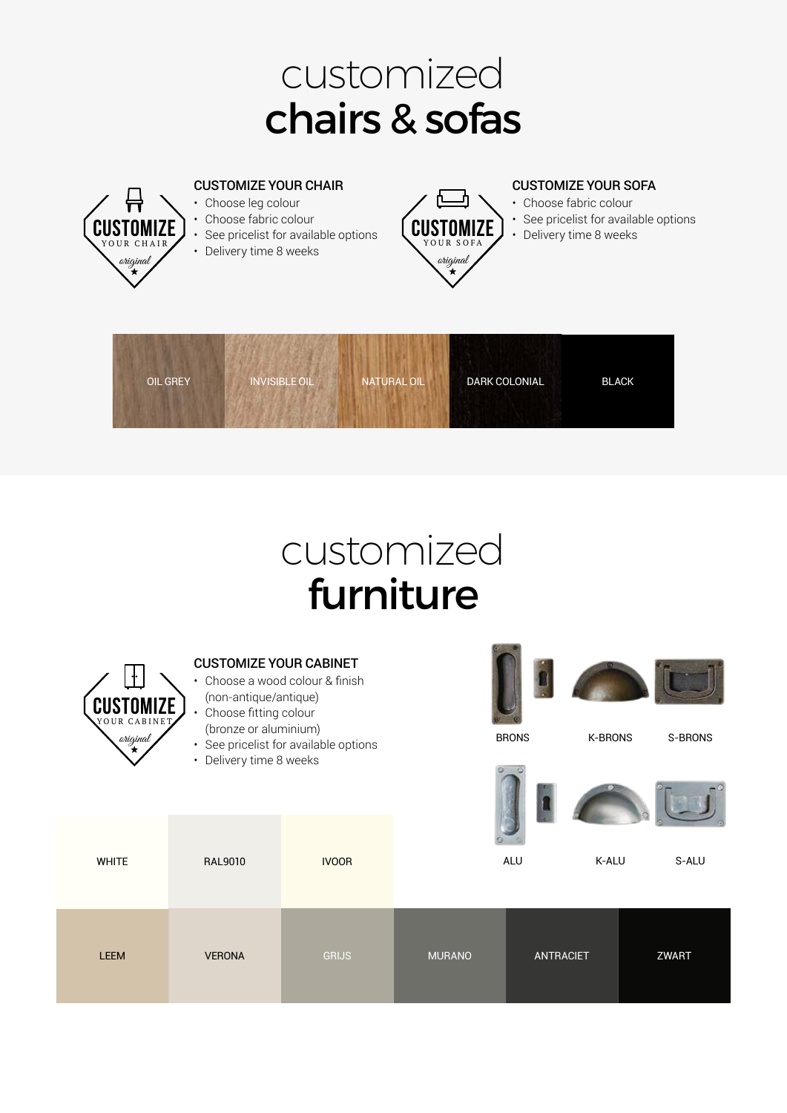# customized chairs & sofas



## customized furniture



**WHITE** 

#### CUSTOMIZE YOUR CABINET

- Choose a wood colour & finish (non-antique/antique)
- Choose fitting colour
- (bronze or aluminium)
- See pricelist for available options
- Delivery time 8 weeks

RAL9010



| <b>LEEM</b> | <b>VERONA</b> | <b>GRIJS</b> | <b>MURANO</b> | <b>ANTRACIET</b> | <b>ZWART</b> |
|-------------|---------------|--------------|---------------|------------------|--------------|

IVOOR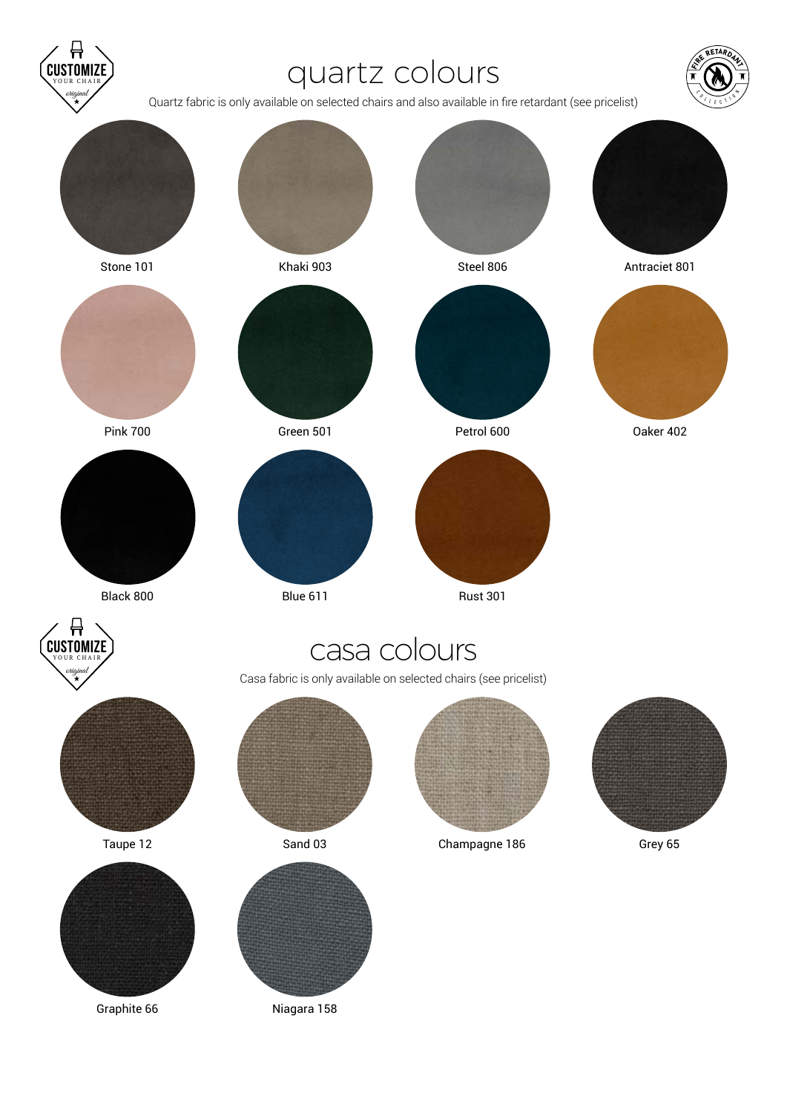### quartz colours

original

**CUSTOM** YOUR CHAIR

Quartz fabric is only available on selected chairs and also available in fire retardant (see pricelist)

C

**RETARDAN** 

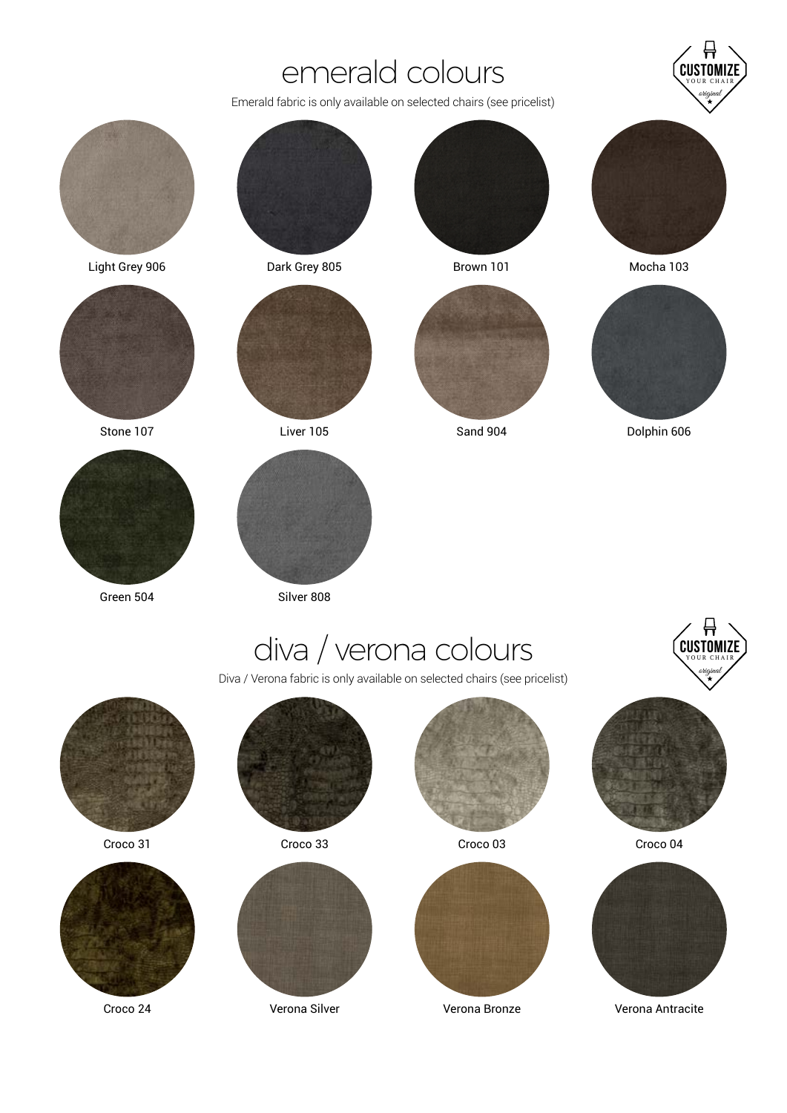#### emerald colours

Emerald fabric is only available on selected chairs (see pricelist)



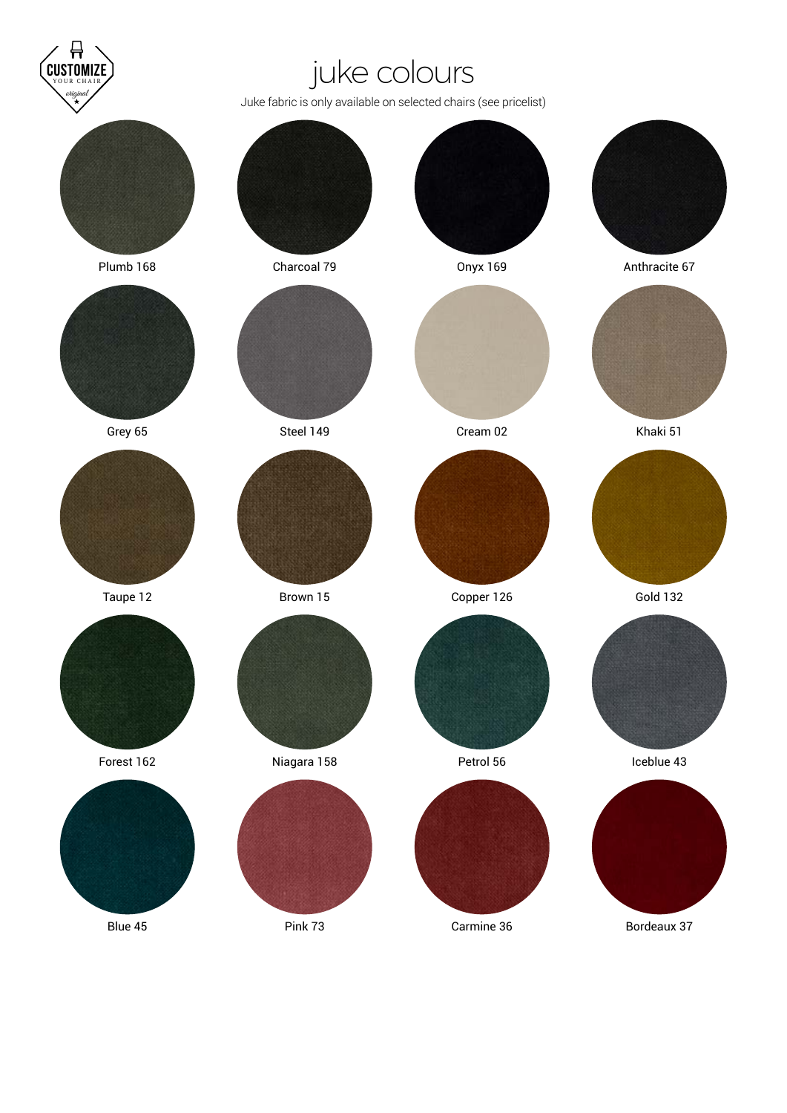

## juke colours

Juke fabric is only available on selected chairs (see pricelist)